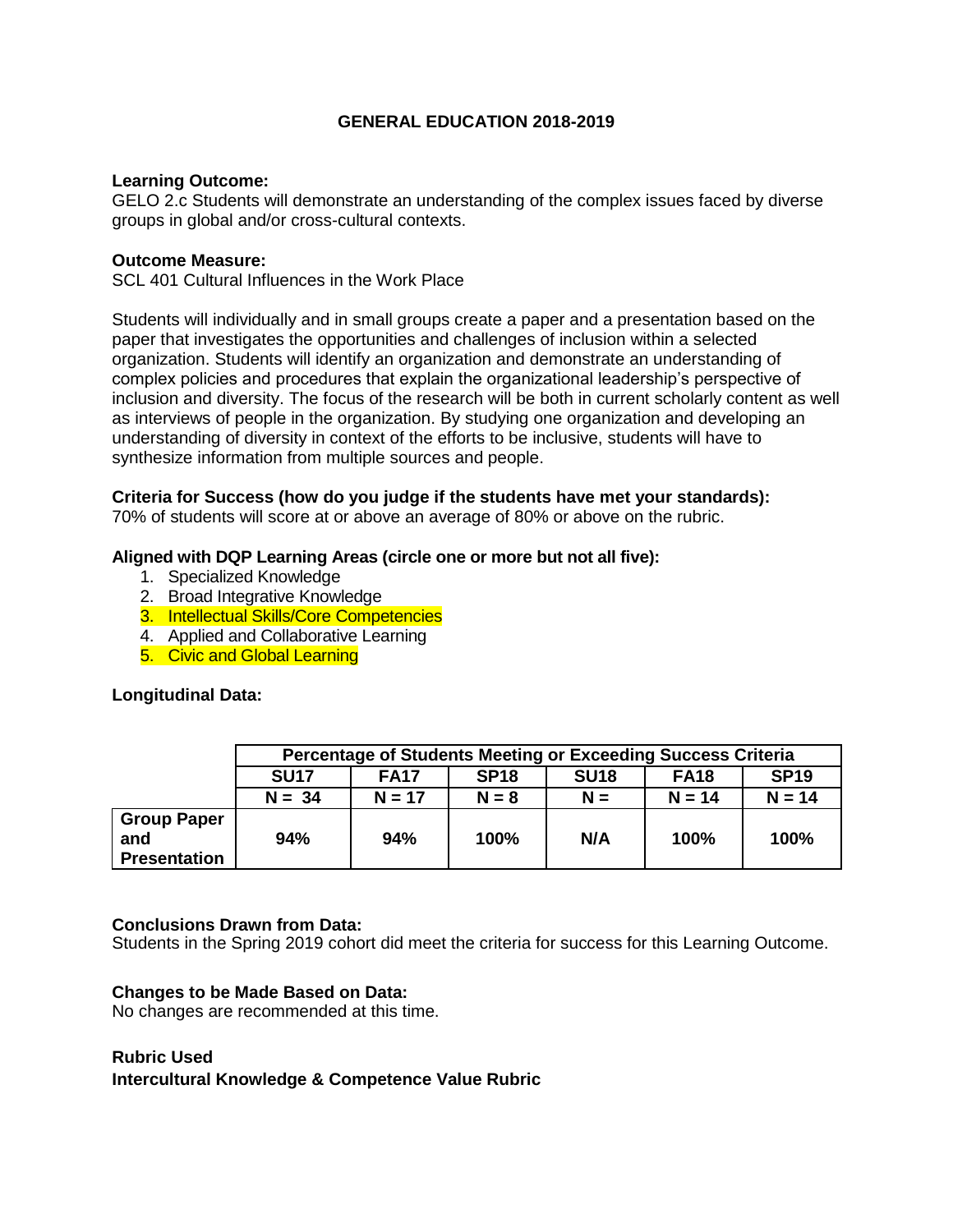## **GENERAL EDUCATION 2018-2019**

#### **Learning Outcome:**

GELO 2.c Students will demonstrate an understanding of the complex issues faced by diverse groups in global and/or cross-cultural contexts.

#### **Outcome Measure:**

SCL 401 Cultural Influences in the Work Place

Students will individually and in small groups create a paper and a presentation based on the paper that investigates the opportunities and challenges of inclusion within a selected organization. Students will identify an organization and demonstrate an understanding of complex policies and procedures that explain the organizational leadership's perspective of inclusion and diversity. The focus of the research will be both in current scholarly content as well as interviews of people in the organization. By studying one organization and developing an understanding of diversity in context of the efforts to be inclusive, students will have to synthesize information from multiple sources and people.

# **Criteria for Success (how do you judge if the students have met your standards):**

70% of students will score at or above an average of 80% or above on the rubric.

### **Aligned with DQP Learning Areas (circle one or more but not all five):**

- 1. Specialized Knowledge
- 2. Broad Integrative Knowledge
- 3. Intellectual Skills/Core Competencies
- 4. Applied and Collaborative Learning
- 5. Civic and Global Learning

### **Longitudinal Data:**

|                                                  | Percentage of Students Meeting or Exceeding Success Criteria |             |             |             |             |             |  |
|--------------------------------------------------|--------------------------------------------------------------|-------------|-------------|-------------|-------------|-------------|--|
|                                                  | <b>SU17</b>                                                  | <b>FA17</b> | <b>SP18</b> | <b>SU18</b> | <b>FA18</b> | <b>SP19</b> |  |
|                                                  | $N = 34$                                                     | $N = 17$    | $N = 8$     | $N =$       | $N = 14$    | $N = 14$    |  |
| <b>Group Paper</b><br>and<br><b>Presentation</b> | 94%                                                          | 94%         | 100%        | N/A         | 100%        | 100%        |  |

### **Conclusions Drawn from Data:**

Students in the Spring 2019 cohort did meet the criteria for success for this Learning Outcome.

### **Changes to be Made Based on Data:**

No changes are recommended at this time.

### **Rubric Used**

**Intercultural Knowledge & Competence Value Rubric**